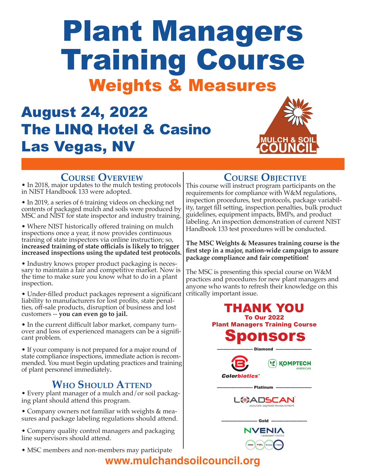# Plant Managers Training Course Weights & Measures

# August 24, 2022 The LINQ Hotel & Casino Las Vegas, NV



#### **Course Overview**

• In 2018, major updates to the mulch testing protocols in NIST Handbook 133 were adopted.

• In 2019, a series of 6 training videos on checking net contents of packaged mulch and soils were produced by MSC and NIST for state inspector and industry training.

• Where NIST historically offered training on mulch inspections once a year, it now provides continuous training of state inspectors via online instruction; so, **increased training of state officials is likely to trigger increased inspections using the updated test protocols.**

• Industry knows proper product packaging is necessary to maintain a fair and competitive market. Now is the time to make sure you know what to do in a plant inspection.

• Under-filled product packages represent a significant liability to manufacturers for lost profits, state penalties, off-sale products, disruption of business and lost customers -- **you can even go to jail.**

• In the current difficult labor market, company turnover and loss of experienced managers can be a significant problem.

• If your company is not prepared for a major round of state compliance inspections, immediate action is recommended. You must begin updating practices and training of plant personnel immediately**.**

## **Who Should Attend**

• Every plant manager of a mulch and/or soil packaging plant should attend this program.

• Company owners not familiar with weights & measures and package labeling regulations should attend.

• Company quality control managers and packaging line supervisors should attend.

• MSC members and non-members may participate

### **Course Objective**

This course will instruct program participants on the requirements for compliance with W&M regulations, inspection procedures, test protocols, package variability, target fill setting, inspection penalties, bulk product guidelines, equipment impacts, BMPs, and product labeling. An inspection demonstration of current NIST Handbook 133 test procedures will be conducted.

**The MSC Weights & Measures training course is the first step in a major, nation-wide campaign to assure package compliance and fair competition!**

The MSC is presenting this special course on W&M practices and procedures for new plant managers and anyone who wants to refresh their knowledge on this critically important issue.